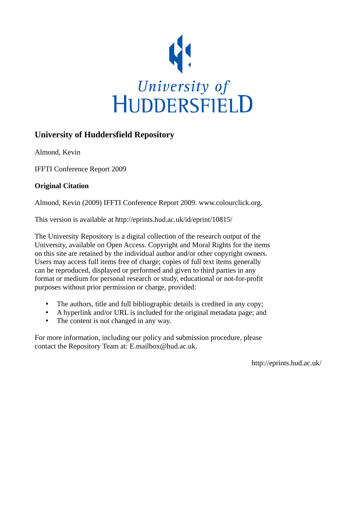

# **University of Huddersfield Repository**

Almond, Kevin

IFFTI Conference Report 2009

## **Original Citation**

Almond, Kevin (2009) IFFTI Conference Report 2009. www.colourclick.org.

This version is available at http://eprints.hud.ac.uk/id/eprint/10815/

The University Repository is a digital collection of the research output of the University, available on Open Access. Copyright and Moral Rights for the items on this site are retained by the individual author and/or other copyright owners. Users may access full items free of charge; copies of full text items generally can be reproduced, displayed or performed and given to third parties in any format or medium for personal research or study, educational or not-for-profit purposes without prior permission or charge, provided:

- The authors, title and full bibliographic details is credited in any copy;
- A hyperlink and/or URL is included for the original metadata page; and
- The content is not changed in any way.

For more information, including our policy and submission procedure, please contact the Repository Team at: E.mailbox@hud.ac.uk.

http://eprints.hud.ac.uk/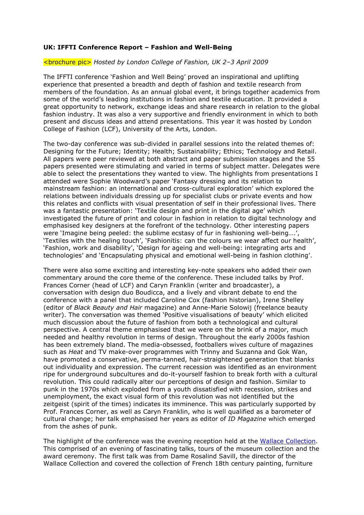### UK: IFFTI Conference Report – Fashion and Well-Being

#### <brochure pic> Hosted by London College of Fashion, UK 2–3 April 2009

The IFFTI conference 'Fashion and Well Being' proved an inspirational and uplifting experience that presented a breadth and depth of fashion and textile research from members of the foundation. As an annual global event, it brings together academics from some of the world's leading institutions in fashion and textile education. It provided a great opportunity to network, exchange ideas and share research in relation to the global fashion industry. It was also a very supportive and friendly environment in which to both present and discuss ideas and attend presentations. This year it was hosted by London College of Fashion (LCF), University of the Arts, London.

The two-day conference was sub-divided in parallel sessions into the related themes of: Designing for the Future; Identity; Health; Sustainability; Ethics; Technology and Retail. All papers were peer reviewed at both abstract and paper submission stages and the 55 papers presented were stimulating and varied in terms of subject matter. Delegates were able to select the presentations they wanted to view. The highlights from presentations I attended were Sophie Woodward's paper 'Fantasy dressing and its relation to mainstream fashion: an international and cross-cultural exploration' which explored the relations between individuals dressing up for specialist clubs or private events and how this relates and conflicts with visual presentation of self in their professional lives. There was a fantastic presentation: 'Textile design and print in the digital age' which investigated the future of print and colour in fashion in relation to digital technology and emphasised key designers at the forefront of the technology. Other interesting papers were 'Imagine being peeled: the sublime ecstasy of fur in fashioning well-being....', 'Textiles with the healing touch', 'Fashionitis: can the colours we wear affect our health', 'Fashion, work and disability', 'Design for ageing and well-being: integrating arts and technologies' and 'Encapsulating physical and emotional well-being in fashion clothing'.

There were also some exciting and interesting key-note speakers who added their own commentary around the core theme of the conference. These included talks by Prof. Frances Corner (head of LCF) and Caryn Franklin (writer and broadcaster), a conversation with design duo Boudicca, and a lively and vibrant debate to end the conference with a panel that included Caroline Cox (fashion historian), Irene Shelley (editor of Black Beauty and Hair magazine) and Anne-Marie Solowij (freelance beauty writer). The conversation was themed 'Positive visualisations of beauty' which elicited much discussion about the future of fashion from both a technological and cultural perspective. A central theme emphasised that we were on the brink of a major, much needed and healthy revolution in terms of design. Throughout the early 2000s fashion has been extremely bland. The media-obsessed, footballers wives culture of magazines such as Heat and TV make-over programmes with Trinny and Suzanna and Gok Wan, have promoted a conservative, perma-tanned, hair-straightened generation that blanks out individuality and expression. The current recession was identified as an environment ripe for underground subcultures and do-it-yourself fashion to break forth with a cultural revolution. This could radically alter our perceptions of design and fashion. Similar to punk in the 1970s which exploded from a youth dissatisfied with recession, strikes and unemployment, the exact visual form of this revolution was not identified but the zeitgeist (spirit of the times) indicates its imminence. This was particularly supported by Prof. Frances Corner, as well as Caryn Franklin, who is well qualified as a barometer of cultural change; her talk emphasised her years as editor of *ID Magazine* which emerged from the ashes of punk.

The highlight of the conference was the evening reception held at the Wallace Collection. This comprised of an evening of fascinating talks, tours of the museum collection and the award ceremony. The first talk was from Dame Rosalind Savill, the director of the Wallace Collection and covered the collection of French 18th century painting, furniture